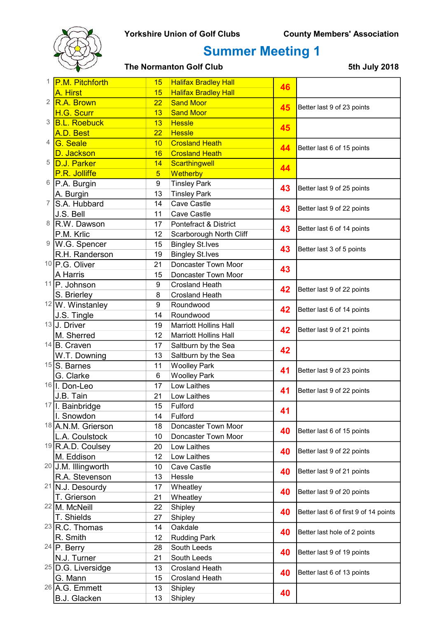

# Summer Meeting 1

|   | <b>P.M. Pitchforth</b>  | 15             | <b>Halifax Bradley Hall</b>  | 46 |                                       |
|---|-------------------------|----------------|------------------------------|----|---------------------------------------|
|   | A. Hirst                | 15             | <b>Halifax Bradley Hall</b>  |    |                                       |
|   | <sup>2</sup> R.A. Brown | 22             | <b>Sand Moor</b>             | 45 |                                       |
|   | H.G. Scurr              | 13             | <b>Sand Moor</b>             |    | Better last 9 of 23 points            |
| 3 | <b>B.L. Roebuck</b>     | 13             | <b>Hessle</b>                |    |                                       |
|   | A.D. Best               | 22             | <b>Hessle</b>                | 45 |                                       |
| 4 | G. Seale                | 10             | <b>Crosland Heath</b>        |    | Better last 6 of 15 points            |
|   | D. Jackson              | 16             | <b>Crosland Heath</b>        | 44 |                                       |
| 5 | D.J. Parker             | 14             | Scarthingwell                | 44 |                                       |
|   | P.R. Jolliffe           | $\overline{5}$ | Wetherby                     |    |                                       |
| 6 | P.A. Burgin             | 9              | <b>Tinsley Park</b>          | 43 | Better last 9 of 25 points            |
|   | A. Burgin               | 13             | <b>Tinsley Park</b>          |    |                                       |
| 7 | S.A. Hubbard            | 14             | Cave Castle                  | 43 | Better last 9 of 22 points            |
|   | J.S. Bell               | 11             | <b>Cave Castle</b>           |    |                                       |
| 8 | R.W. Dawson             | 17             | Pontefract & District        | 43 | Better last 6 of 14 points            |
|   | P.M. Krlic              | 12             | Scarborough North Cliff      |    |                                       |
| 9 | W.G. Spencer            | 15             | <b>Bingley St.Ives</b>       | 43 | Better last 3 of 5 points             |
|   | R.H. Randerson          | 19             | <b>Bingley St.Ives</b>       |    |                                       |
|   | $10$ P.G. Oliver        | 21             | Doncaster Town Moor          | 43 |                                       |
|   | A Harris                | 15             | Doncaster Town Moor          |    |                                       |
|   | $11$ P. Johnson         | 9              | <b>Crosland Heath</b>        | 42 | Better last 9 of 22 points            |
|   | S. Brierley             | 8              | <b>Crosland Heath</b>        |    |                                       |
|   | $12$ W. Winstanley      | 9              | Roundwood                    | 42 | Better last 6 of 14 points            |
|   | J.S. Tingle             | 14             | Roundwood                    |    |                                       |
|   | $13$ J. Driver          | 19             | <b>Marriott Hollins Hall</b> | 42 |                                       |
|   | M. Sherred              | 12             | <b>Marriott Hollins Hall</b> |    | Better last 9 of 21 points            |
|   | $14$ B. Craven          | 17             | Saltburn by the Sea          | 42 |                                       |
|   | W.T. Downing            | 13             | Saltburn by the Sea          |    |                                       |
|   | $15$ S. Barnes          | 11             | <b>Woolley Park</b>          | 41 | Better last 9 of 23 points            |
|   | G. Clarke               | 6              | <b>Woolley Park</b>          |    |                                       |
|   | 16 I. Don-Leo           | 17             | Low Laithes                  | 41 | Better last 9 of 22 points            |
|   | J.B. Tain               | 21             | Low Laithes                  |    |                                       |
|   | $17$  I. Bainbridge     | 15             | Fulford                      | 41 |                                       |
|   | I. Snowdon              | 14             | Fulford                      |    |                                       |
|   | 18 A.N.M. Grierson      | 18             | Doncaster Town Moor          | 40 | Better last 6 of 15 points            |
|   | L.A. Coulstock          | 10             | Doncaster Town Moor          |    |                                       |
|   | $19$ R.A.D. Coulsey     | 20             | Low Laithes                  | 40 | Better last 9 of 22 points            |
|   | M. Eddison              | 12             | Low Laithes                  |    |                                       |
|   | 20 J.M. Illingworth     | 10             | Cave Castle                  | 40 | Better last 9 of 21 points            |
|   | R.A. Stevenson          | 13             | Hessle                       |    |                                       |
|   | 21 N.J. Desourdy        | 17             | Wheatley                     | 40 | Better last 9 of 20 points            |
|   | T. Grierson             | 21             | Wheatley                     |    |                                       |
|   | 22 M. McNeill           | 22             | Shipley                      | 40 | Better last 6 of first 9 of 14 points |
|   | T. Shields              | 27             | Shipley                      |    |                                       |
|   | $23$ R.C. Thomas        | 14             | Oakdale                      | 40 | Better last hole of 2 points          |
|   | R. Smith                | 12             | <b>Rudding Park</b>          |    |                                       |
|   | $24$ P. Berry           | 28             | South Leeds                  | 40 | Better last 9 of 19 points            |
|   | N.J. Turner             | 21             | South Leeds                  |    |                                       |
|   | $25$ D.G. Liversidge    | 13             | <b>Crosland Heath</b>        |    | Better last 6 of 13 points            |
|   | G. Mann                 | 15             | <b>Crosland Heath</b>        | 40 |                                       |
|   | $26$ A.G. Emmett        | 13             | Shipley                      | 40 |                                       |
|   | <b>B.J. Glacken</b>     | 13             | Shipley                      |    |                                       |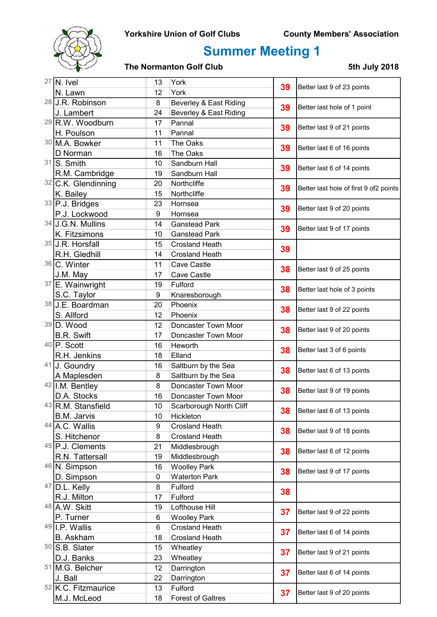

# Summer Meeting 1

|    | $27$ N. Ivel                   | 13                           | York                     | 39 | Better last 9 of 23 points             |
|----|--------------------------------|------------------------------|--------------------------|----|----------------------------------------|
|    | N. Lawn                        | 12                           | York                     |    |                                        |
|    | 28 J.R. Robinson               | 8                            | Beverley & East Riding   | 39 | Better last hole of 1 point            |
|    | J. Lambert                     | 24<br>Beverley & East Riding |                          |    |                                        |
|    | <sup>29</sup> R.W. Woodburn    | 17                           | Pannal                   | 39 | Better last 9 of 21 points             |
|    | H. Poulson                     | 11                           | Pannal                   |    |                                        |
|    | 30 M.A. Bowker                 | 11                           | The Oaks                 | 39 | Better last 6 of 16 points             |
|    | D Norman                       | 16                           | The Oaks                 |    |                                        |
|    | $31$ S. Smith                  | 10                           | Sandburn Hall            | 39 | Better last 6 of 14 points             |
|    | R.M. Cambridge                 | 19                           | Sandburn Hall            |    |                                        |
|    | 32 C.K. Glendinning            | 20                           | Northcliffe              | 39 | Better last hole of first 9 of2 points |
|    | K. Bailey                      | 15                           | Northcliffe              |    |                                        |
|    | 33 P.J. Bridges                | 23                           | Hornsea                  | 39 | Better last 9 of 20 points             |
|    | P.J. Lockwood                  | 9                            | Hornsea                  |    |                                        |
|    | 34 J.G.N. Mullins              | 14                           | <b>Ganstead Park</b>     | 39 | Better last 9 of 17 points             |
|    | K. Fitzsimons                  | 10                           | <b>Ganstead Park</b>     |    |                                        |
|    | 35 J.R. Horsfall               | 15                           | <b>Crosland Heath</b>    | 39 |                                        |
|    | R.H. Gledhill                  | 14                           | <b>Crosland Heath</b>    |    |                                        |
|    | $36$ C. Winter                 | 11                           | <b>Cave Castle</b>       | 38 | Better last 9 of 25 points             |
|    | J.M. May                       | 17                           | Cave Castle              |    |                                        |
|    | 37 E. Wainwright               | 19                           | Fulford                  | 38 | Better last hole of 3 points           |
|    | S.C. Taylor                    | 9                            | Knaresborough            |    |                                        |
|    | 38 J.E. Boardman               | 20                           | Phoenix                  | 38 | Better last 9 of 22 points             |
|    | S. Allford                     | 12                           | Phoenix                  |    |                                        |
|    | $39$ D. Wood                   | 12                           | Doncaster Town Moor      | 38 | Better last 9 of 20 points             |
|    | <b>B.R. Swift</b>              | 17                           | Doncaster Town Moor      |    |                                        |
|    | $40$ P. Scott                  | 16                           | Heworth                  |    | Better last 3 of 6 points              |
|    | R.H. Jenkins                   | 18                           | Elland                   | 38 |                                        |
| 41 | J. Goundry                     | 16                           | Saltburn by the Sea      | 38 | Better last 6 of 13 points             |
|    | A Maplesden                    | 8                            | Saltburn by the Sea      |    |                                        |
|    | 42 I.M. Bentley                | 8                            | Doncaster Town Moor      | 38 | Better last 9 of 19 points             |
|    | D.A. Stocks                    | 16                           | Doncaster Town Moor      |    |                                        |
|    | 43 R.M. Stansfield             | 10                           | Scarborough North Cliff  | 38 | Better last 6 of 13 points             |
|    | B.M. Jarvis                    | 10                           | Hickleton                |    |                                        |
|    | $44$ A.C. Wallis               | 9                            | <b>Crosland Heath</b>    | 38 | Better last 9 of 18 points             |
|    | S. Hitchenor                   | 8                            | <b>Crosland Heath</b>    |    |                                        |
|    | 45 P.J. Clements               | 21                           | Middlesbrough            | 38 | Better last 6 of 12 points             |
|    | R.N. Tattersall                | 19                           | Middlesbrough            |    |                                        |
|    | 46 N. Simpson                  | 16                           | <b>Woolley Park</b>      | 38 | Better last 9 of 17 points             |
|    | D. Simpson                     | 0                            | <b>Waterton Park</b>     |    |                                        |
|    | $47$ D.L. Kelly                | 8                            | Fulford                  | 38 |                                        |
|    | R.J. Milton                    | 17                           | Fulford                  |    |                                        |
|    | 48 A.W. Skitt                  | 19                           | Lofthouse Hill           | 37 | Better last 9 of 22 points             |
|    | P. Turner                      | 6                            | <b>Woolley Park</b>      |    |                                        |
|    | $49$   I.P. Wallis             | 6                            | <b>Crosland Heath</b>    | 37 | Better last 6 of 14 points             |
|    | <b>B.</b> Askham               | 18                           | <b>Crosland Heath</b>    |    |                                        |
|    | $50$ S.B. Slater               | 15                           | Wheatley                 | 37 | Better last 9 of 21 points             |
|    | D.J. Banks                     | 23                           | Wheatley                 |    |                                        |
| 51 | M.G. Belcher                   | 12                           | Darrington               | 37 | Better last 6 of 14 points             |
|    | J. Ball                        | 22                           | Darrington               |    |                                        |
|    | <sup>52</sup> K.C. Fitzmaurice | 13                           | Fulford                  | 37 | Better last 9 of 20 points             |
|    | M.J. McLeod                    | 18                           | <b>Forest of Galtres</b> |    |                                        |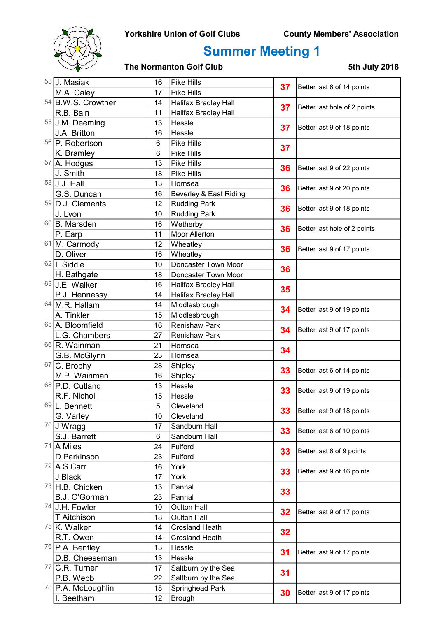## Yorkshire Union of Golf Clubs County Members' Association



# Summer Meeting 1

|    | 53 J. Masiak               | 16             | <b>Pike Hills</b>           | 37 | Better last 6 of 14 points   |
|----|----------------------------|----------------|-----------------------------|----|------------------------------|
|    | M.A. Caley                 | 17             | Pike Hills                  |    |                              |
|    | 54 B.W.S. Crowther         | 14             | <b>Halifax Bradley Hall</b> | 37 | Better last hole of 2 points |
|    | R.B. Bain                  | 11             | <b>Halifax Bradley Hall</b> |    |                              |
|    | 55 J.M. Deeming            | 13             | Hessle                      | 37 |                              |
|    | J.A. Britton               | 16             | Hessle                      |    | Better last 9 of 18 points   |
|    | <sup>56</sup> P. Robertson | $6\phantom{1}$ | Pike Hills                  | 37 |                              |
|    | K. Bramley                 | 6              | Pike Hills                  |    |                              |
|    | 57 A. Hodges               | 13             | Pike Hills                  |    | Better last 9 of 22 points   |
|    | J. Smith                   | 18             | Pike Hills                  | 36 |                              |
|    | 58 J.J. Hall               | 13             | Hornsea                     |    |                              |
|    | G.S. Duncan                | 16             | Beverley & East Riding      | 36 | Better last 9 of 20 points   |
|    | 59 D.J. Clements           | 12             | <b>Rudding Park</b>         |    | Better last 9 of 18 points   |
|    | J. Lyon                    | 10             | <b>Rudding Park</b>         | 36 |                              |
|    | 60 B. Marsden              | 16             | Wetherby                    |    |                              |
|    | P. Earp                    | 11             | Moor Allerton               | 36 | Better last hole of 2 points |
| 61 | M. Carmody                 | 12             | Wheatley                    |    |                              |
|    | D. Oliver                  | 16             | Wheatley                    | 36 | Better last 9 of 17 points   |
|    | $62$   I. Siddle           | 10             | Doncaster Town Moor         |    |                              |
|    | H. Bathgate                | 18             | Doncaster Town Moor         | 36 |                              |
|    | 63 J.E. Walker             | 16             | <b>Halifax Bradley Hall</b> | 35 |                              |
|    | P.J. Hennessy              | 14             | <b>Halifax Bradley Hall</b> |    |                              |
|    | $64$ M.R. Hallam           | 14             | Middlesbrough               | 34 | Better last 9 of 19 points   |
|    | A. Tinkler                 | 15             | Middlesbrough               |    |                              |
|    | 65 A. Bloomfield           | 16             | <b>Renishaw Park</b>        | 34 |                              |
|    | L.G. Chambers              | 27             | <b>Renishaw Park</b>        |    | Better last 9 of 17 points   |
|    | 66 R. Wainman              | 21             | Hornsea                     | 34 |                              |
|    | G.B. McGlynn               | 23             | Hornsea                     |    |                              |
|    | 67 C. Brophy               | 28             | Shipley                     |    | Better last 6 of 14 points   |
|    | M.P. Wainman               | 16             | Shipley                     | 33 |                              |
|    | 68 P.D. Cutland            | 13             | Hessle                      |    | Better last 9 of 19 points   |
|    | R.F. Nicholl               | 15             | Hessle                      | 33 |                              |
|    | 69 L. Bennett              | 5              | Cleveland                   |    |                              |
|    | G. Varley                  | 10             | Cleveland                   | 33 | Better last 9 of 18 points   |
|    | 70 J Wragg                 | 17             | Sandburn Hall               |    |                              |
|    | S.J. Barrett               | 6              | Sandburn Hall               | 33 | Better last 6 of 10 points   |
|    | 71 A Miles                 | 24             | Fulford                     |    |                              |
|    | D Parkinson                | 23             | Fulford                     | 33 | Better last 6 of 9 points    |
|    | $72$ A.S Carr              |                |                             |    |                              |
|    |                            | 16             | York                        | 33 | Better last 9 of 16 points   |
|    | J Black<br>73 H.B. Chicken | 17<br>York     |                             |    |                              |
|    |                            | 13             | Pannal                      | 33 |                              |
|    | <b>B.J. O'Gorman</b>       | 23             | Pannal                      |    |                              |
|    | 74 J.H. Fowler             | 10             | Oulton Hall                 | 32 | Better last 9 of 17 points   |
|    | T Aitchison                | 18             | Oulton Hall                 | 32 |                              |
|    | $75$ K. Walker             | 14             | <b>Crosland Heath</b>       |    |                              |
|    | R.T. Owen                  | 14             | <b>Crosland Heath</b>       |    |                              |
|    | $76$ P.A. Bentley          | 13             | Hessle                      | 31 | Better last 9 of 17 points   |
|    | D.B. Cheeseman             | 13             | Hessle                      |    |                              |
|    | $77$ C.R. Turner           | 17             | Saltburn by the Sea         | 31 |                              |
|    | P.B. Webb                  | 22             | Saltburn by the Sea         |    |                              |
|    | 78 P.A. McLoughlin         | 18             | Springhead Park             | 30 | Better last 9 of 17 points   |
|    | I. Beetham                 | 12             | <b>Brough</b>               |    |                              |